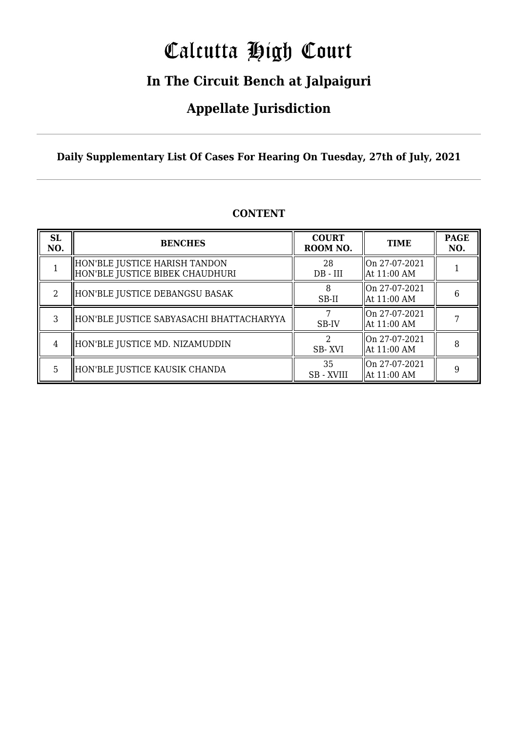# Calcutta High Court

### **In The Circuit Bench at Jalpaiguri**

### **Appellate Jurisdiction**

**Daily Supplementary List Of Cases For Hearing On Tuesday, 27th of July, 2021**

| <b>SL</b><br>NO. | <b>BENCHES</b>                                                     | <b>COURT</b><br>ROOM NO. | <b>TIME</b>                    | <b>PAGE</b><br>NO. |
|------------------|--------------------------------------------------------------------|--------------------------|--------------------------------|--------------------|
|                  | HON'BLE JUSTICE HARISH TANDON<br>  HON'BLE JUSTICE BIBEK CHAUDHURI | 28<br>$DB - III$         | On 27-07-2021<br>  At 11:00 AM |                    |
| 2                | HON'BLE JUSTICE DEBANGSU BASAK                                     | SB-II                    | On 27-07-2021<br>  At 11:00 AM | 6                  |
| 3                | HON'BLE JUSTICE SABYASACHI BHATTACHARYYA                           | SB-IV                    | On 27-07-2021<br>  At 11:00 AM |                    |
| 4                | HON'BLE JUSTICE MD. NIZAMUDDIN                                     | SB-XVI                   | On 27-07-2021<br>  At 11:00 AM |                    |
| 5.               | HON'BLE JUSTICE KAUSIK CHANDA                                      | 35<br>SB - XVIII         | On 27-07-2021<br>  At 11:00 AM | 9                  |

### **CONTENT**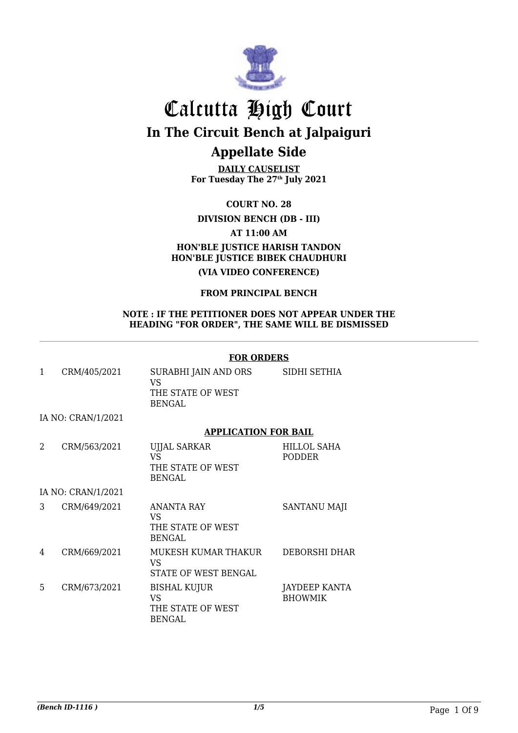

**DAILY CAUSELIST For Tuesday The 27th July 2021**

**COURT NO. 28**

### **DIVISION BENCH (DB - III)**

**AT 11:00 AM**

### **HON'BLE JUSTICE HARISH TANDON HON'BLE JUSTICE BIBEK CHAUDHURI**

**(VIA VIDEO CONFERENCE)**

### **FROM PRINCIPAL BENCH**

#### **NOTE : IF THE PETITIONER DOES NOT APPEAR UNDER THE HEADING "FOR ORDER", THE SAME WILL BE DISMISSED**

### **FOR ORDERS**

|   | CRM/405/2021       | SURABHI JAIN AND ORS<br>VS<br>THE STATE OF WEST<br><b>BENGAL</b> | SIDHI SETHIA          |
|---|--------------------|------------------------------------------------------------------|-----------------------|
|   | IA NO: CRAN/1/2021 |                                                                  |                       |
|   |                    | <b>APPLICATION FOR BAIL</b>                                      |                       |
| 2 | CRM/563/2021       | <b>UJJAL SARKAR</b><br>VS<br>THE STATE OF WEST                   | HILLOL SAHA<br>PODDER |

BENGAL

IA NO: CRAN/1/2021

| 3 | CRM/649/2021 | <b>ANANTA RAY</b><br>VS<br>THE STATE OF WEST<br>BENGAL | <b>SANTANU MAJI</b>                    |
|---|--------------|--------------------------------------------------------|----------------------------------------|
| 4 | CRM/669/2021 | MUKESH KUMAR THAKUR<br>VS<br>STATE OF WEST BENGAL      | DEBORSHI DHAR                          |
| 5 | CRM/673/2021 | BISHAL KUJUR<br>VS<br>THE STATE OF WEST<br>BENGAL      | <b>JAYDEEP KANTA</b><br><b>BHOWMIK</b> |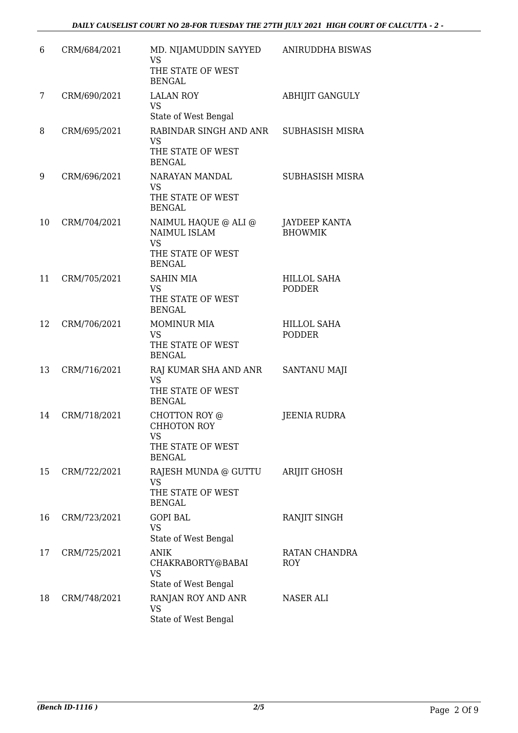| 6  | CRM/684/2021 | MD. NIJAMUDDIN SAYYED<br><b>VS</b><br>THE STATE OF WEST<br><b>BENGAL</b>                | <b>ANIRUDDHA BISWAS</b>             |
|----|--------------|-----------------------------------------------------------------------------------------|-------------------------------------|
| 7  | CRM/690/2021 | <b>LALAN ROY</b><br><b>VS</b><br>State of West Bengal                                   | <b>ABHIJIT GANGULY</b>              |
| 8  | CRM/695/2021 | RABINDAR SINGH AND ANR<br><b>VS</b><br>THE STATE OF WEST<br><b>BENGAL</b>               | SUBHASISH MISRA                     |
| 9  | CRM/696/2021 | NARAYAN MANDAL<br><b>VS</b><br>THE STATE OF WEST<br><b>BENGAL</b>                       | SUBHASISH MISRA                     |
| 10 | CRM/704/2021 | NAIMUL HAQUE @ ALI @<br>NAIMUL ISLAM<br><b>VS</b><br>THE STATE OF WEST<br><b>BENGAL</b> | JAYDEEP KANTA<br><b>BHOWMIK</b>     |
| 11 | CRM/705/2021 | <b>SAHIN MIA</b><br><b>VS</b><br>THE STATE OF WEST<br><b>BENGAL</b>                     | <b>HILLOL SAHA</b><br><b>PODDER</b> |
| 12 | CRM/706/2021 | <b>MOMINUR MIA</b><br><b>VS</b><br>THE STATE OF WEST<br><b>BENGAL</b>                   | <b>HILLOL SAHA</b><br><b>PODDER</b> |
| 13 | CRM/716/2021 | RAJ KUMAR SHA AND ANR<br><b>VS</b><br>THE STATE OF WEST<br><b>BENGAL</b>                | SANTANU MAJI                        |
| 14 | CRM/718/2021 | CHOTTON ROY @<br><b>CHHOTON ROY</b><br><b>VS</b><br>THE STATE OF WEST<br><b>BENGAL</b>  | <b>JEENIA RUDRA</b>                 |
| 15 | CRM/722/2021 | RAJESH MUNDA @ GUTTU<br><b>VS</b><br>THE STATE OF WEST<br><b>BENGAL</b>                 | <b>ARIJIT GHOSH</b>                 |
| 16 | CRM/723/2021 | <b>GOPI BAL</b><br><b>VS</b><br>State of West Bengal                                    | RANJIT SINGH                        |
| 17 | CRM/725/2021 | <b>ANIK</b><br>CHAKRABORTY@BABAI<br><b>VS</b><br>State of West Bengal                   | RATAN CHANDRA<br><b>ROY</b>         |
| 18 | CRM/748/2021 | RANJAN ROY AND ANR<br><b>VS</b><br>State of West Bengal                                 | NASER ALI                           |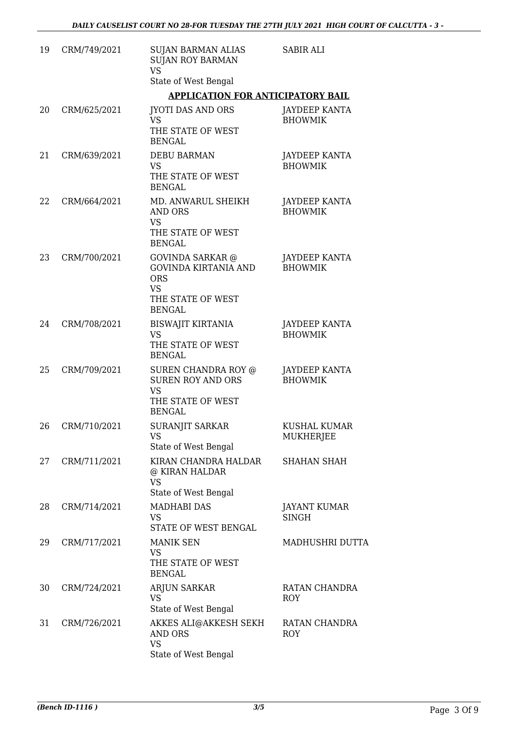| 19 | CRM/749/2021 | <b>SUJAN BARMAN ALIAS</b><br><b>SUJAN ROY BARMAN</b><br><b>VS</b>                                                       | <b>SABIR ALI</b>                       |
|----|--------------|-------------------------------------------------------------------------------------------------------------------------|----------------------------------------|
|    |              | State of West Bengal                                                                                                    |                                        |
|    |              | <b>APPLICATION FOR ANTICIPATORY BAIL</b>                                                                                |                                        |
| 20 | CRM/625/2021 | <b>JYOTI DAS AND ORS</b><br><b>VS</b><br>THE STATE OF WEST<br><b>BENGAL</b>                                             | JAYDEEP KANTA<br><b>BHOWMIK</b>        |
| 21 | CRM/639/2021 | <b>DEBU BARMAN</b><br><b>VS</b><br>THE STATE OF WEST<br><b>BENGAL</b>                                                   | <b>JAYDEEP KANTA</b><br><b>BHOWMIK</b> |
| 22 | CRM/664/2021 | MD. ANWARUL SHEIKH<br><b>AND ORS</b><br><b>VS</b><br>THE STATE OF WEST<br><b>BENGAL</b>                                 | JAYDEEP KANTA<br><b>BHOWMIK</b>        |
| 23 | CRM/700/2021 | <b>GOVINDA SARKAR</b> @<br><b>GOVINDA KIRTANIA AND</b><br><b>ORS</b><br><b>VS</b><br>THE STATE OF WEST<br><b>BENGAL</b> | <b>JAYDEEP KANTA</b><br><b>BHOWMIK</b> |
| 24 | CRM/708/2021 | <b>BISWAJIT KIRTANIA</b><br><b>VS</b><br>THE STATE OF WEST<br><b>BENGAL</b>                                             | <b>JAYDEEP KANTA</b><br><b>BHOWMIK</b> |
| 25 | CRM/709/2021 | <b>SUREN CHANDRA ROY @</b><br><b>SUREN ROY AND ORS</b><br><b>VS</b><br>THE STATE OF WEST<br><b>BENGAL</b>               | JAYDEEP KANTA<br><b>BHOWMIK</b>        |
| 26 | CRM/710/2021 | SURANJIT SARKAR<br>VS<br>State of West Bengal                                                                           | <b>KUSHAL KUMAR</b><br>MUKHERJEE       |
| 27 | CRM/711/2021 | KIRAN CHANDRA HALDAR<br>@ KIRAN HALDAR<br><b>VS</b><br>State of West Bengal                                             | <b>SHAHAN SHAH</b>                     |
| 28 | CRM/714/2021 | <b>MADHABI DAS</b><br><b>VS</b><br>STATE OF WEST BENGAL                                                                 | JAYANT KUMAR<br><b>SINGH</b>           |
| 29 | CRM/717/2021 | <b>MANIK SEN</b><br><b>VS</b><br>THE STATE OF WEST<br><b>BENGAL</b>                                                     | MADHUSHRI DUTTA                        |
| 30 | CRM/724/2021 | ARJUN SARKAR<br><b>VS</b><br>State of West Bengal                                                                       | RATAN CHANDRA<br><b>ROY</b>            |
| 31 | CRM/726/2021 | AKKES ALI@AKKESH SEKH<br><b>AND ORS</b><br><b>VS</b><br>State of West Bengal                                            | RATAN CHANDRA<br><b>ROY</b>            |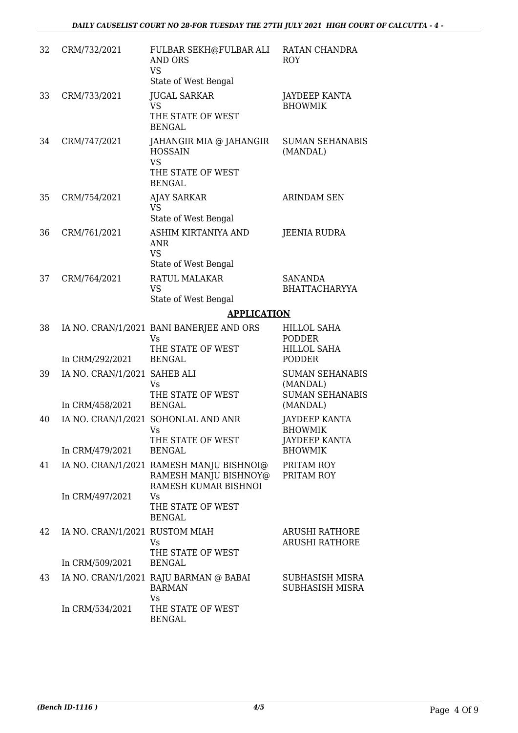| 32 | CRM/732/2021                                    | FULBAR SEKH@FULBAR ALI<br><b>AND ORS</b><br><b>VS</b><br>State of West Bengal                                                                                                                                                                                                                               | RATAN CHANDRA<br>ROY                                                       |
|----|-------------------------------------------------|-------------------------------------------------------------------------------------------------------------------------------------------------------------------------------------------------------------------------------------------------------------------------------------------------------------|----------------------------------------------------------------------------|
| 33 | CRM/733/2021                                    | <b>JUGAL SARKAR</b><br><b>VS</b><br>THE STATE OF WEST<br><b>BENGAL</b>                                                                                                                                                                                                                                      | <b>JAYDEEP KANTA</b><br><b>BHOWMIK</b>                                     |
| 34 | CRM/747/2021                                    | JAHANGIR MIA @ JAHANGIR<br><b>HOSSAIN</b><br><b>VS</b><br>THE STATE OF WEST<br><b>BENGAL</b>                                                                                                                                                                                                                | <b>SUMAN SEHANABIS</b><br>(MANDAL)                                         |
| 35 | CRM/754/2021                                    | <b>AJAY SARKAR</b><br><b>VS</b><br>State of West Bengal                                                                                                                                                                                                                                                     | <b>ARINDAM SEN</b>                                                         |
| 36 | CRM/761/2021                                    | ASHIM KIRTANIYA AND<br><b>ANR</b><br><b>VS</b><br>State of West Bengal                                                                                                                                                                                                                                      | <b>JEENIA RUDRA</b>                                                        |
| 37 | CRM/764/2021                                    | RATUL MALAKAR<br><b>VS</b><br>State of West Bengal                                                                                                                                                                                                                                                          | <b>SANANDA</b><br><b>BHATTACHARYYA</b>                                     |
|    |                                                 | <b>APPLICATION</b>                                                                                                                                                                                                                                                                                          |                                                                            |
| 38 | In CRM/292/2021                                 | IA NO. CRAN/1/2021 BANI BANERJEE AND ORS<br>Vs<br>THE STATE OF WEST<br><b>BENGAL</b>                                                                                                                                                                                                                        | <b>HILLOL SAHA</b><br><b>PODDER</b><br><b>HILLOL SAHA</b><br><b>PODDER</b> |
| 39 | IA NO. CRAN/1/2021 SAHEB ALI<br>In CRM/458/2021 | <b>Vs</b><br>THE STATE OF WEST<br><b>BENGAL</b>                                                                                                                                                                                                                                                             | <b>SUMAN SEHANABIS</b><br>(MANDAL)<br><b>SUMAN SEHANABIS</b><br>(MANDAL)   |
| 40 | In CRM/479/2021                                 | IA NO. CRAN/1/2021 SOHONLAL AND ANR<br>Vs and the set of the set of the set of the set of the set of the set of the set of the set of the set of the set of the set of the set of the set of the set of the set of the set of the set of the set of the set of the se<br>THE STATE OF WEST<br><b>BENGAL</b> | <b>JAYDEEP KANTA</b><br>BHOWMIK<br><b>JAYDEEP KANTA</b><br><b>BHOWMIK</b>  |
| 41 |                                                 | IA NO. CRAN/1/2021 RAMESH MANJU BISHNOI@<br>RAMESH MANJU BISHNOY@<br>RAMESH KUMAR BISHNOI                                                                                                                                                                                                                   | PRITAM ROY<br>PRITAM ROY                                                   |
|    | In CRM/497/2021                                 | Vs<br>THE STATE OF WEST<br><b>BENGAL</b>                                                                                                                                                                                                                                                                    |                                                                            |
| 42 | IA NO. CRAN/1/2021 RUSTOM MIAH                  | Vs<br>THE STATE OF WEST                                                                                                                                                                                                                                                                                     | <b>ARUSHI RATHORE</b><br><b>ARUSHI RATHORE</b>                             |
|    | In CRM/509/2021                                 | <b>BENGAL</b>                                                                                                                                                                                                                                                                                               |                                                                            |
| 43 |                                                 | IA NO. CRAN/1/2021 RAJU BARMAN @ BABAI<br><b>BARMAN</b><br>Vs                                                                                                                                                                                                                                               | SUBHASISH MISRA<br>SUBHASISH MISRA                                         |
|    | In CRM/534/2021                                 | THE STATE OF WEST<br><b>BENGAL</b>                                                                                                                                                                                                                                                                          |                                                                            |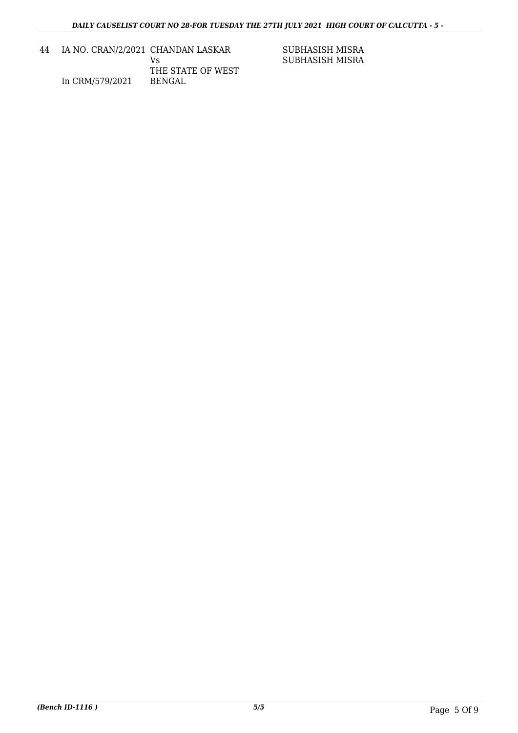| 44 | IA NO. CRAN/2/2021 CHANDAN LASKAR |                   |
|----|-----------------------------------|-------------------|
|    |                                   | V۹                |
|    |                                   | THE STATE OF WEST |
|    | In CRM/579/2021                   | <b>BENGAL</b>     |
|    |                                   |                   |

SUBHASISH MISRA SUBHASISH MISRA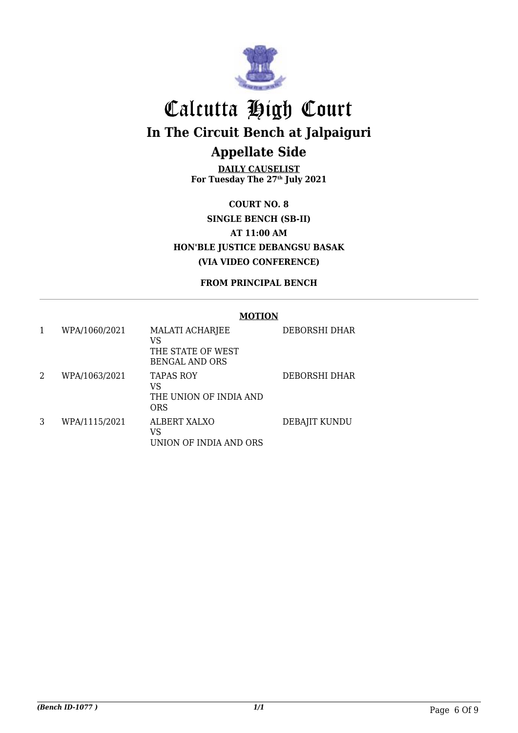

**DAILY CAUSELIST For Tuesday The 27th July 2021**

**COURT NO. 8 SINGLE BENCH (SB-II) AT 11:00 AM HON'BLE JUSTICE DEBANGSU BASAK (VIA VIDEO CONFERENCE)**

**FROM PRINCIPAL BENCH**

#### **MOTION**

|   | WPA/1060/2021 | <b>MALATI ACHARJEE</b><br>VS<br>THE STATE OF WEST<br><b>BENGAL AND ORS</b> | DEBORSHI DHAR |
|---|---------------|----------------------------------------------------------------------------|---------------|
| 2 | WPA/1063/2021 | <b>TAPAS ROY</b><br>VS<br>THE UNION OF INDIA AND<br><b>ORS</b>             | DEBORSHI DHAR |
| 3 | WPA/1115/2021 | ALBERT XALXO<br>VS<br>UNION OF INDIA AND ORS                               | DEBAJIT KUNDU |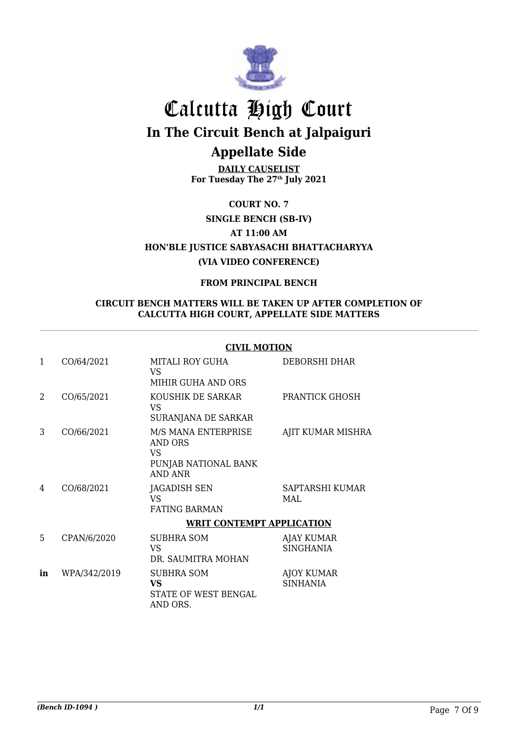

**DAILY CAUSELIST For Tuesday The 27th July 2021**

**COURT NO. 7**

**SINGLE BENCH (SB-IV)**

**AT 11:00 AM**

**HON'BLE JUSTICE SABYASACHI BHATTACHARYYA (VIA VIDEO CONFERENCE)**

### **FROM PRINCIPAL BENCH**

#### **CIRCUIT BENCH MATTERS WILL BE TAKEN UP AFTER COMPLETION OF CALCUTTA HIGH COURT, APPELLATE SIDE MATTERS**

#### **CIVIL MOTION**

| 1  | CO/64/2021   | <b>MITALI ROY GUHA</b><br>VS.<br>MIHIR GUHA AND ORS                                    | DEBORSHI DHAR                  |
|----|--------------|----------------------------------------------------------------------------------------|--------------------------------|
| 2  | CO/65/2021   | KOUSHIK DE SARKAR<br>VS.<br>SURANJANA DE SARKAR                                        | PRANTICK GHOSH                 |
| 3  | CO/66/2021   | M/S MANA ENTERPRISE<br><b>AND ORS</b><br>VS.<br>PUNJAB NATIONAL BANK<br><b>AND ANR</b> | AJIT KUMAR MISHRA              |
| 4  | CO/68/2021   | JAGADISH SEN<br>VS.<br><b>FATING BARMAN</b>                                            | SAPTARSHI KUMAR<br>MAL         |
|    |              | <b>WRIT CONTEMPT APPLICATION</b>                                                       |                                |
| 5. | CPAN/6/2020  | SUBHRA SOM<br>VS.<br>DR. SAUMITRA MOHAN                                                | <b>AJAY KUMAR</b><br>SINGHANIA |
| in | WPA/342/2019 | <b>SUBHRA SOM</b><br>VS<br>STATE OF WEST BENGAL<br>AND ORS.                            | AJOY KUMAR<br><b>SINHANIA</b>  |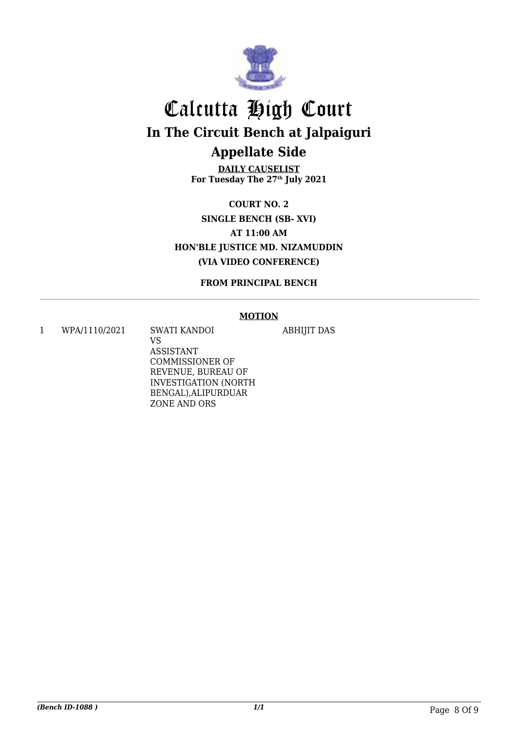

**DAILY CAUSELIST For Tuesday The 27th July 2021**

**COURT NO. 2 SINGLE BENCH (SB- XVI) AT 11:00 AM HON'BLE JUSTICE MD. NIZAMUDDIN (VIA VIDEO CONFERENCE)**

**FROM PRINCIPAL BENCH**

#### **MOTION**

ABHIJIT DAS

1 WPA/1110/2021 SWATI KANDOI

VS ASSISTANT COMMISSIONER OF REVENUE, BUREAU OF INVESTIGATION (NORTH BENGAL),ALIPURDUAR ZONE AND ORS